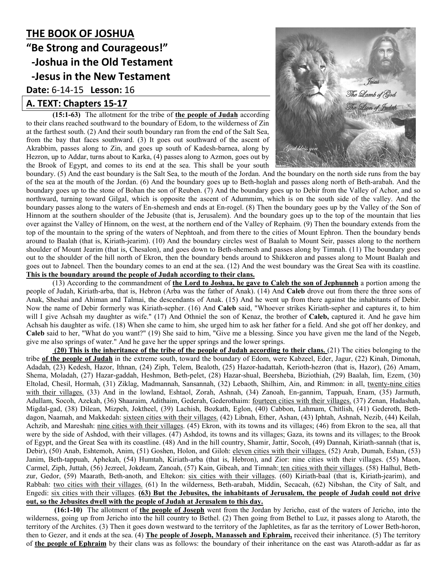## **THE BOOK OF JOSHUA "Be Strong and Courageous!" -Joshua in the Old Testament -Jesus in the New Testament Date:** 6-14-15 **Lesson:** 16 **A. TEXT: Chapters 15-17**

**(15:1-63)** The allotment for the tribe of **the people of Judah** according to their clans reached southward to the boundary of Edom, to the wilderness of Zin at the farthest south. (2) And their south boundary ran from the end of the Salt Sea, from the bay that faces southward. (3) It goes out southward of the ascent of Akrabbim, passes along to Zin, and goes up south of Kadesh-barnea, along by Hezron, up to Addar, turns about to Karka, (4) passes along to Azmon, goes out by the Brook of Egypt, and comes to its end at the sea. This shall be your south



boundary. (5) And the east boundary is the Salt Sea, to the mouth of the Jordan. And the boundary on the north side runs from the bay of the sea at the mouth of the Jordan. (6) And the boundary goes up to Beth-hoglah and passes along north of Beth-arabah. And the boundary goes up to the stone of Bohan the son of Reuben. (7) And the boundary goes up to Debir from the Valley of Achor, and so northward, turning toward Gilgal, which is opposite the ascent of Adummim, which is on the south side of the valley. And the boundary passes along to the waters of En-shemesh and ends at En-rogel. (8) Then the boundary goes up by the Valley of the Son of Hinnom at the southern shoulder of the Jebusite (that is, Jerusalem). And the boundary goes up to the top of the mountain that lies over against the Valley of Hinnom, on the west, at the northern end of the Valley of Rephaim. (9) Then the boundary extends from the top of the mountain to the spring of the waters of Nephtoah, and from there to the cities of Mount Ephron. Then the boundary bends around to Baalah (that is, Kiriath-jearim). (10) And the boundary circles west of Baalah to Mount Seir, passes along to the northern shoulder of Mount Jearim (that is, Chesalon), and goes down to Beth-shemesh and passes along by Timnah. (11) The boundary goes out to the shoulder of the hill north of Ekron, then the boundary bends around to Shikkeron and passes along to Mount Baalah and goes out to Jabneel. Then the boundary comes to an end at the sea. (12) And the west boundary was the Great Sea with its coastline. **This is the boundary around the people of Judah according to their clans.**

(13) According to the commandment of **the Lord to Joshua, he gave to Caleb the son of Jephunneh** a portion among the people of Judah, Kiriath-arba, that is, Hebron (Arba was the father of Anak). (14) And **Caleb** drove out from there the three sons of Anak, Sheshai and Ahiman and Talmai, the descendants of Anak. (15) And he went up from there against the inhabitants of Debir. Now the name of Debir formerly was Kiriath-sepher. (16) And **Caleb** said, "Whoever strikes Kiriath-sepher and captures it, to him will I give Achsah my daughter as wife." (17) And Othniel the son of Kenaz, the brother of **Caleb,** captured it. And he gave him Achsah his daughter as wife. (18) When she came to him, she urged him to ask her father for a field. And she got off her donkey, and **Caleb** said to her, "What do you want?" (19) She said to him, "Give me a blessing. Since you have given me the land of the Negeb, give me also springs of water." And he gave her the upper springs and the lower springs.

**(20)** This is the inheritance of the tribe of the people of Judah according to their clans. (21) The cities belonging to the tribe **of the people of Judah** in the extreme south, toward the boundary of Edom, were Kabzeel, Eder, Jagur, (22) Kinah, Dimonah, Adadah, (23) Kedesh, Hazor, Ithnan, (24) Ziph, Telem, Bealoth, (25) Hazor-hadattah, Kerioth-hezron (that is, Hazor), (26) Amam, Shema, Moladah, (27) Hazar-gaddah, Heshmon, Beth-pelet, (28) Hazar-shual, Beersheba, Biziothiah, (29) Baalah, Iim, Ezem, (30) Eltolad, Chesil, Hormah, (31) Ziklag, Madmannah, Sansannah, (32) Lebaoth, Shilhim, Ain, and Rimmon: in all, twenty-nine cities with their villages. (33) And in the lowland, Eshtaol, Zorah, Ashnah, (34) Zanoah, En-gannim, Tappuah, Enam, (35) Jarmuth, Adullam, Socoh, Azekah, (36) Shaaraim, Adithaim, Gederah, Gederothaim: fourteen cities with their villages. (37) Zenan, Hadashah, Migdal-gad, (38) Dilean, Mizpeh, Joktheel, (39) Lachish, Bozkath, Eglon, (40) Cabbon, Lahmam, Chitlish, (41) Gederoth, Bethdagon, Naamah, and Makkedah: sixteen cities with their villages. (42) Libnah, Ether, Ashan, (43) Iphtah, Ashnah, Nezib, (44) Keilah, Achzib, and Mareshah: nine cities with their villages. (45) Ekron, with its towns and its villages; (46) from Ekron to the sea, all that were by the side of Ashdod, with their villages. (47) Ashdod, its towns and its villages; Gaza, its towns and its villages; to the Brook of Egypt, and the Great Sea with its coastline. (48) And in the hill country, Shamir, Jattir, Socoh, (49) Dannah, Kiriath-sannah (that is, Debir), (50) Anab, Eshtemoh, Anim, (51) Goshen, Holon, and Giloh: eleven cities with their villages. (52) Arab, Dumah, Eshan, (53) Janim, Beth-tappuah, Aphekah, (54) Humtah, Kiriath-arba (that is, Hebron), and Zior: nine cities with their villages. (55) Maon, Carmel, Ziph, Juttah, (56) Jezreel, Jokdeam, Zanoah, (57) Kain, Gibeah, and Timnah: ten cities with their villages. (58) Halhul, Bethzur, Gedor, (59) Maarath, Beth-anoth, and Eltekon: six cities with their villages. (60) Kiriath-baal (that is, Kiriath-jearim), and Rabbah: two cities with their villages. (61) In the wilderness, Beth-arabah, Middin, Secacah, (62) Nibshan, the City of Salt, and Engedi: six cities with their villages. **(63) But the Jebusites, the inhabitants of Jerusalem, the people of Judah could not drive out, so the Jebusites dwell with the people of Judah at Jerusalem to this day.**

 **(16:1-10)** The allotment of **the people of Joseph** went from the Jordan by Jericho, east of the waters of Jericho, into the wilderness, going up from Jericho into the hill country to Bethel. (2) Then going from Bethel to Luz, it passes along to Ataroth, the territory of the Archites. (3) Then it goes down westward to the territory of the Japhletites, as far as the territory of Lower Beth-horon, then to Gezer, and it ends at the sea. (4) **The people of Joseph, Manasseh and Ephraim,** received their inheritance. (5) The territory of **the people of Ephraim** by their clans was as follows: the boundary of their inheritance on the east was Ataroth-addar as far as